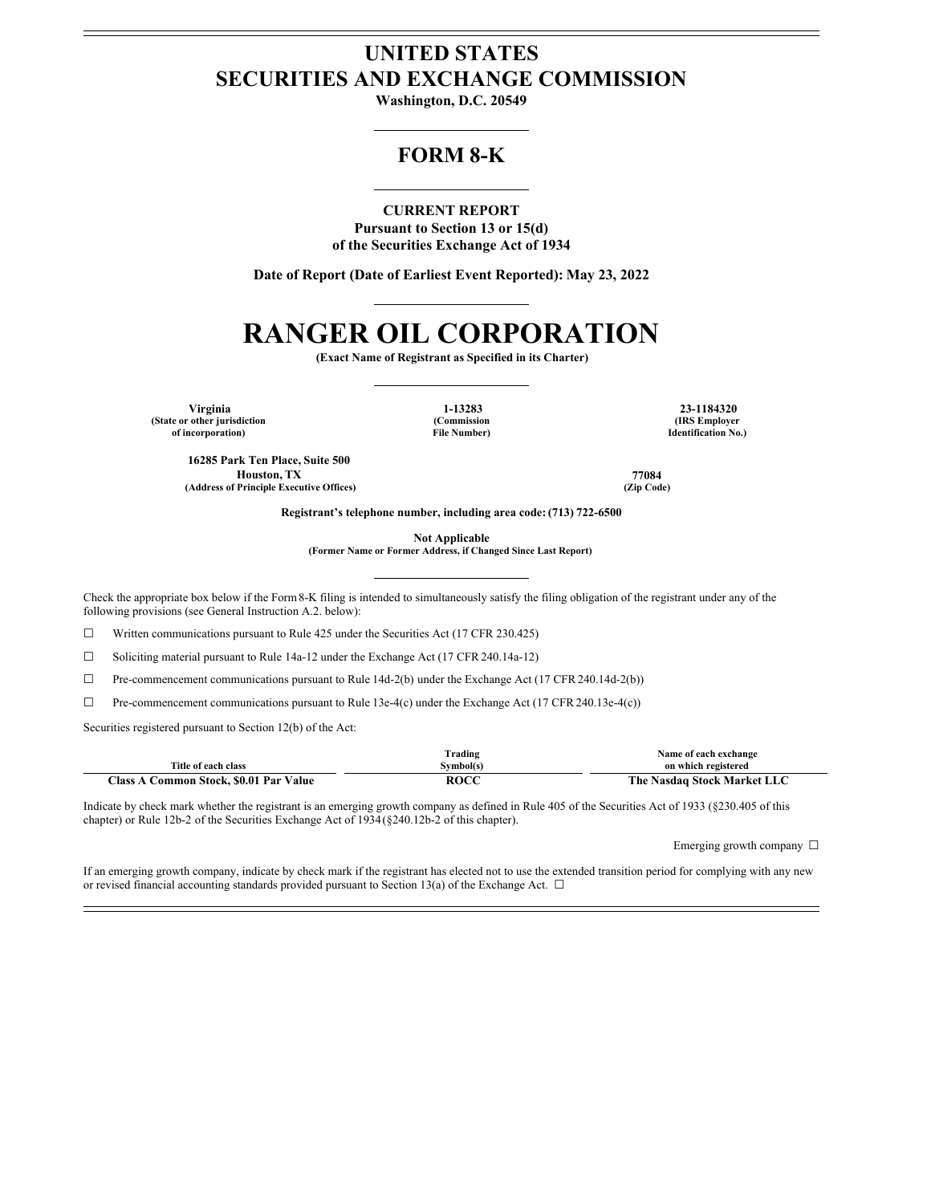# **UNITED STATES SECURITIES AND EXCHANGE COMMISSION**

**Washington, D.C. 20549**

# **FORM 8-K**

**CURRENT REPORT Pursuant to Section 13 or 15(d) of the Securities Exchange Act of 1934**

**Date of Report (Date of Earliest Event Reported): May 23, 2022**

# **RANGER OIL CORPORATION**

**(Exact Name of Registrant as Specified in its Charter)**

**Virginia 1-13283 23-1184320 (State or other jurisdiction of incorporation)**

**(Commission File Number)**

**(IRS Employer Identification No.)**

**16285 Park Ten Place, Suite 500 Houston, TX 77084 (Address of Principle Executive Offices) (Zip Code)**

**Registrant's telephone number, including area code: (713) 722-6500**

**Not Applicable**

**(Former Name or Former Address, if Changed Since Last Report)**

Check the appropriate box below if the Form8-K filing is intended to simultaneously satisfy the filing obligation of the registrant under any of the following provisions (see General Instruction A.2. below):

☐ Written communications pursuant to Rule 425 under the Securities Act (17 CFR 230.425)

☐ Soliciting material pursuant to Rule 14a-12 under the Exchange Act (17 CFR 240.14a-12)

☐ Pre-commencement communications pursuant to Rule 14d-2(b) under the Exchange Act (17 CFR 240.14d-2(b))

☐ Pre-commencement communications pursuant to Rule 13e-4(c) under the Exchange Act (17 CFR 240.13e-4(c))

Securities registered pursuant to Section 12(b) of the Act:

|                                        | lrading     | Name of each exchange       |
|----------------------------------------|-------------|-----------------------------|
| Title of each class                    | Svmbol(s)   | on which registered         |
| Class A Common Stock, \$0.01 Par Value | <b>ROCC</b> | The Nasdaq Stock Market LLC |

Indicate by check mark whether the registrant is an emerging growth company as defined in Rule 405 of the Securities Act of 1933 (§230.405 of this chapter) or Rule 12b-2 of the Securities Exchange Act of 1934(§240.12b-2 of this chapter).

Emerging growth company ☐

If an emerging growth company, indicate by check mark if the registrant has elected not to use the extended transition period for complying with any new or revised financial accounting standards provided pursuant to Section 13(a) of the Exchange Act.  $\Box$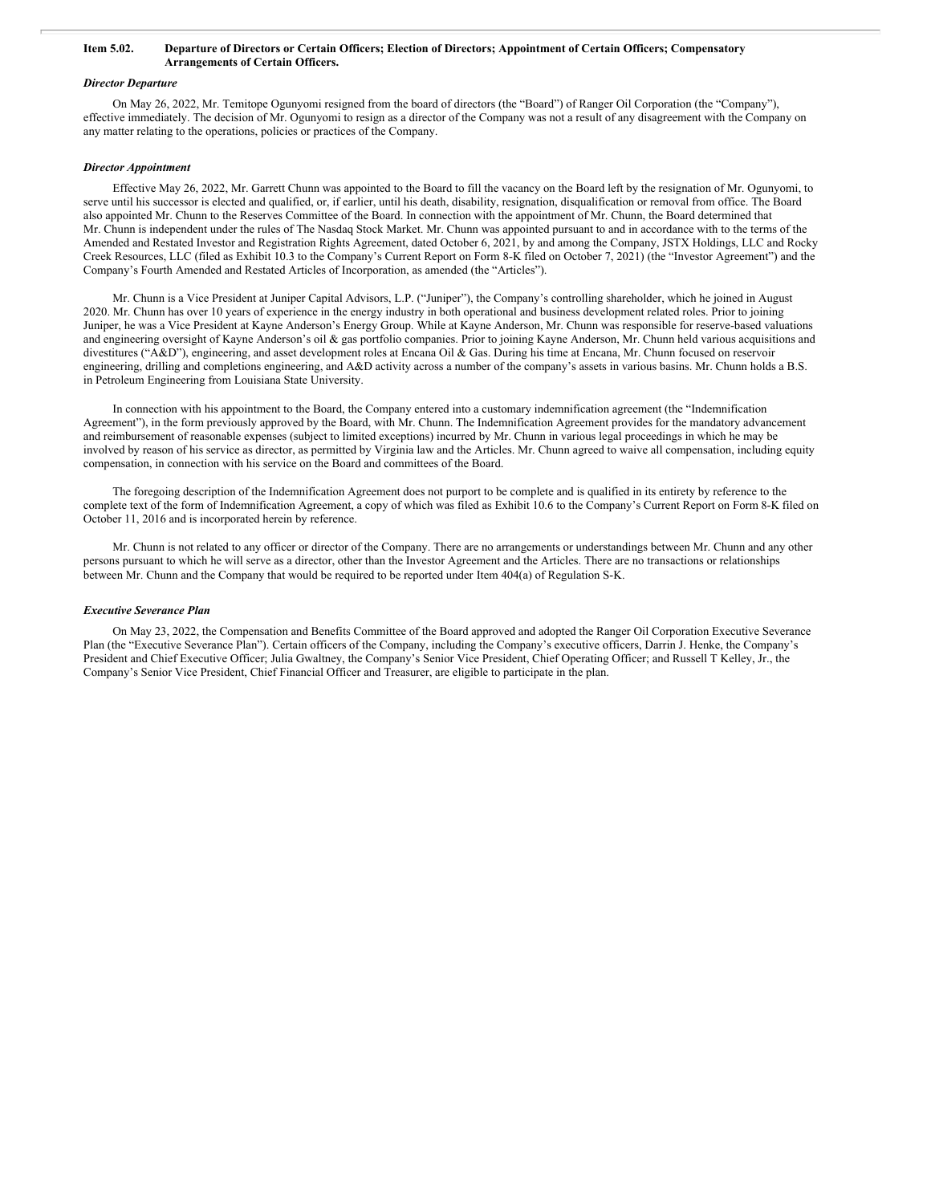#### Item 5.02. Departure of Directors or Certain Officers; Election of Directors; Appointment of Certain Officers; Compensatory **Arrangements of Certain Officers.**

#### *Director Departure*

On May 26, 2022, Mr. Temitope Ogunyomi resigned from the board of directors (the "Board") of Ranger Oil Corporation (the "Company"), effective immediately. The decision of Mr. Ogunyomi to resign as a director of the Company was not a result of any disagreement with the Company on any matter relating to the operations, policies or practices of the Company.

#### *Director Appointment*

Effective May 26, 2022, Mr. Garrett Chunn was appointed to the Board to fill the vacancy on the Board left by the resignation of Mr. Ogunyomi, to serve until his successor is elected and qualified, or, if earlier, until his death, disability, resignation, disqualification or removal from office. The Board also appointed Mr. Chunn to the Reserves Committee of the Board. In connection with the appointment of Mr. Chunn, the Board determined that Mr. Chunn is independent under the rules of The Nasdaq Stock Market. Mr. Chunn was appointed pursuant to and in accordance with to the terms of the Amended and Restated Investor and Registration Rights Agreement, dated October 6, 2021, by and among the Company, JSTX Holdings, LLC and Rocky Creek Resources, LLC (filed as Exhibit 10.3 to the Company's Current Report on Form 8-K filed on October 7, 2021) (the "Investor Agreement") and the Company's Fourth Amended and Restated Articles of Incorporation, as amended (the "Articles").

Mr. Chunn is a Vice President at Juniper Capital Advisors, L.P. ("Juniper"), the Company's controlling shareholder, which he joined in August 2020. Mr. Chunn has over 10 years of experience in the energy industry in both operational and business development related roles. Prior to joining Juniper, he was a Vice President at Kayne Anderson's Energy Group. While at Kayne Anderson, Mr. Chunn was responsible for reserve-based valuations and engineering oversight of Kayne Anderson's oil & gas portfolio companies. Prior to joining Kayne Anderson, Mr. Chunn held various acquisitions and divestitures ("A&D"), engineering, and asset development roles at Encana Oil & Gas. During his time at Encana, Mr. Chunn focused on reservoir engineering, drilling and completions engineering, and A&D activity across a number of the company's assets in various basins. Mr. Chunn holds a B.S. in Petroleum Engineering from Louisiana State University.

In connection with his appointment to the Board, the Company entered into a customary indemnification agreement (the "Indemnification Agreement"), in the form previously approved by the Board, with Mr. Chunn. The Indemnification Agreement provides for the mandatory advancement and reimbursement of reasonable expenses (subject to limited exceptions) incurred by Mr. Chunn in various legal proceedings in which he may be involved by reason of his service as director, as permitted by Virginia law and the Articles. Mr. Chunn agreed to waive all compensation, including equity compensation, in connection with his service on the Board and committees of the Board.

The foregoing description of the Indemnification Agreement does not purport to be complete and is qualified in its entirety by reference to the complete text of the form of Indemnification Agreement, a copy of which was filed as Exhibit 10.6 to the Company's Current Report on Form 8-K filed on October 11, 2016 and is incorporated herein by reference.

Mr. Chunn is not related to any officer or director of the Company. There are no arrangements or understandings between Mr. Chunn and any other persons pursuant to which he will serve as a director, other than the Investor Agreement and the Articles. There are no transactions or relationships between Mr. Chunn and the Company that would be required to be reported under Item 404(a) of Regulation S-K.

#### *Executive Severance Plan*

On May 23, 2022, the Compensation and Benefits Committee of the Board approved and adopted the Ranger Oil Corporation Executive Severance Plan (the "Executive Severance Plan"). Certain officers of the Company, including the Company's executive officers, Darrin J. Henke, the Company's President and Chief Executive Officer; Julia Gwaltney, the Company's Senior Vice President, Chief Operating Officer; and Russell T Kelley, Jr., the Company's Senior Vice President, Chief Financial Officer and Treasurer, are eligible to participate in the plan.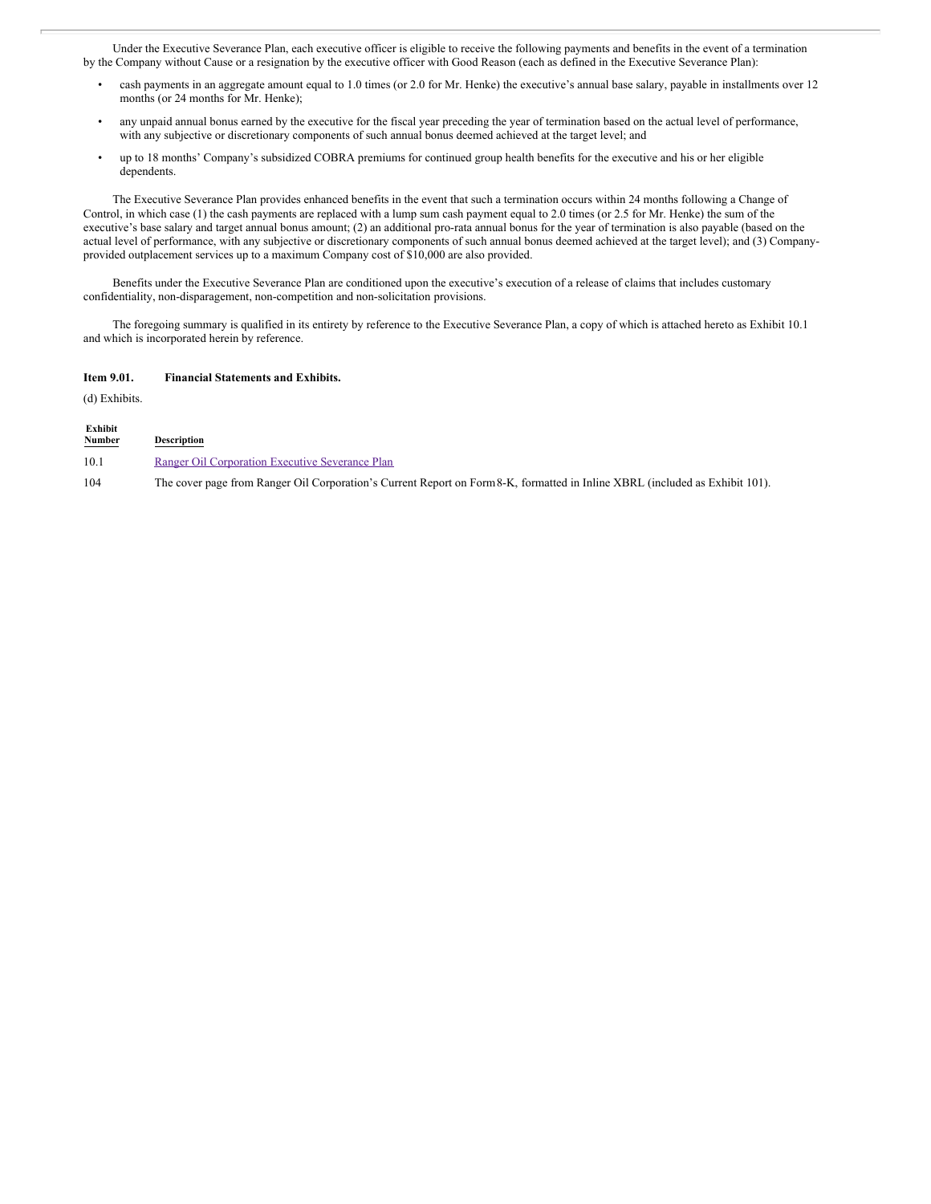Under the Executive Severance Plan, each executive officer is eligible to receive the following payments and benefits in the event of a termination by the Company without Cause or a resignation by the executive officer with Good Reason (each as defined in the Executive Severance Plan):

- cash payments in an aggregate amount equal to 1.0 times (or 2.0 for Mr. Henke) the executive's annual base salary, payable in installments over 12 months (or 24 months for Mr. Henke);
- any unpaid annual bonus earned by the executive for the fiscal year preceding the year of termination based on the actual level of performance, with any subjective or discretionary components of such annual bonus deemed achieved at the target level; and
- up to 18 months' Company's subsidized COBRA premiums for continued group health benefits for the executive and his or her eligible dependents.

The Executive Severance Plan provides enhanced benefits in the event that such a termination occurs within 24 months following a Change of Control, in which case (1) the cash payments are replaced with a lump sum cash payment equal to 2.0 times (or 2.5 for Mr. Henke) the sum of the executive's base salary and target annual bonus amount; (2) an additional pro-rata annual bonus for the year of termination is also payable (based on the actual level of performance, with any subjective or discretionary components of such annual bonus deemed achieved at the target level); and (3) Companyprovided outplacement services up to a maximum Company cost of \$10,000 are also provided.

Benefits under the Executive Severance Plan are conditioned upon the executive's execution of a release of claims that includes customary confidentiality, non-disparagement, non-competition and non-solicitation provisions.

The foregoing summary is qualified in its entirety by reference to the Executive Severance Plan, a copy of which is attached hereto as Exhibit 10.1 and which is incorporated herein by reference.

#### **Item 9.01. Financial Statements and Exhibits.**

(d) Exhibits.

**Exhibit**

| <b>EXNIDIT</b><br>Number<br><b>Contract Contract Contract Contract</b> | <b>Description</b>                                                                                                           |
|------------------------------------------------------------------------|------------------------------------------------------------------------------------------------------------------------------|
| 10.1                                                                   | Ranger Oil Corporation Executive Severance Plan                                                                              |
| 104                                                                    | The cover page from Ranger Oil Corporation's Current Report on Form 8-K, formatted in Inline XBRL (included as Exhibit 101). |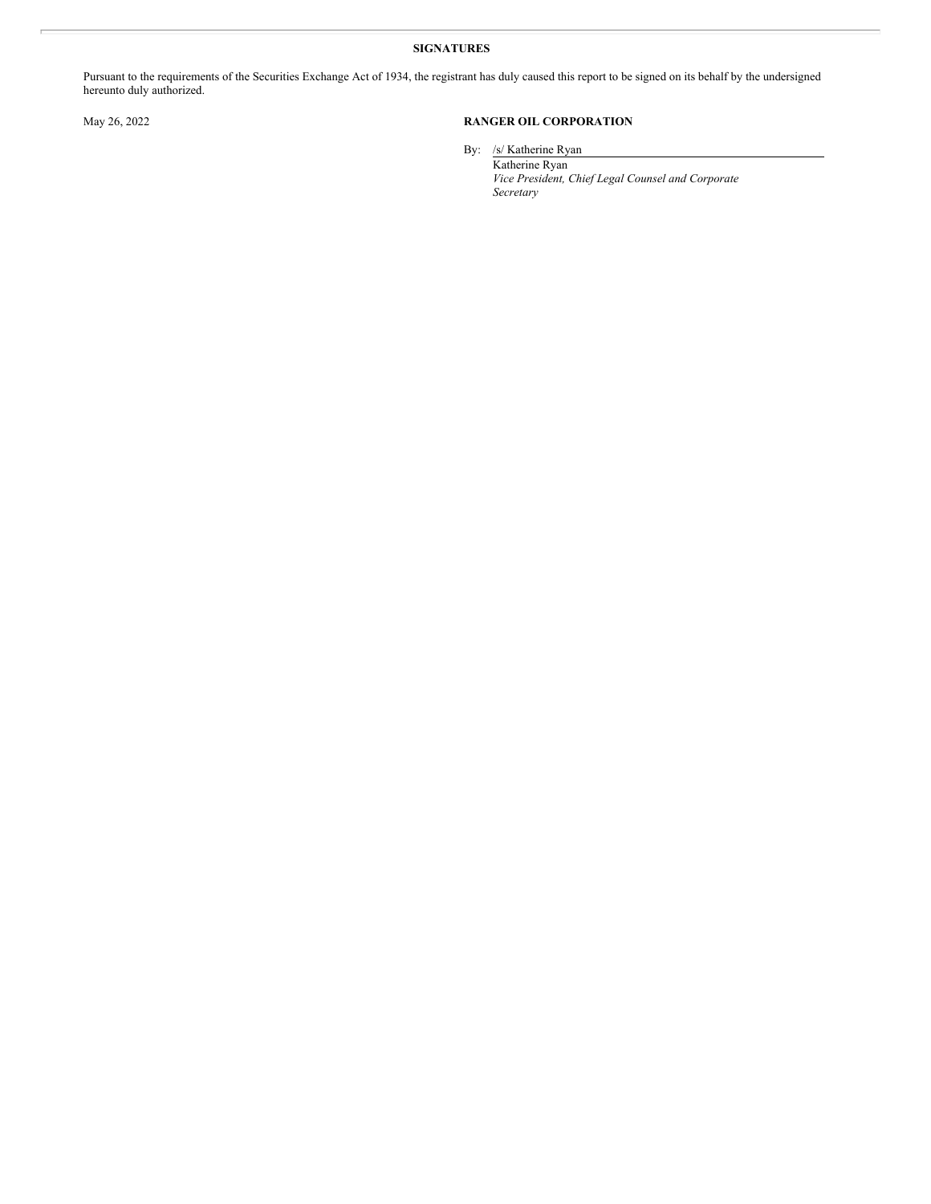#### **SIGNATURES**

Pursuant to the requirements of the Securities Exchange Act of 1934, the registrant has duly caused this report to be signed on its behalf by the undersigned hereunto duly authorized.

## May 26, 2022 **RANGER OIL CORPORATION**

By: /s/ Katherine Ryan Katherine Ryan

*Vice President, Chief Legal Counsel and Corporate Secretary*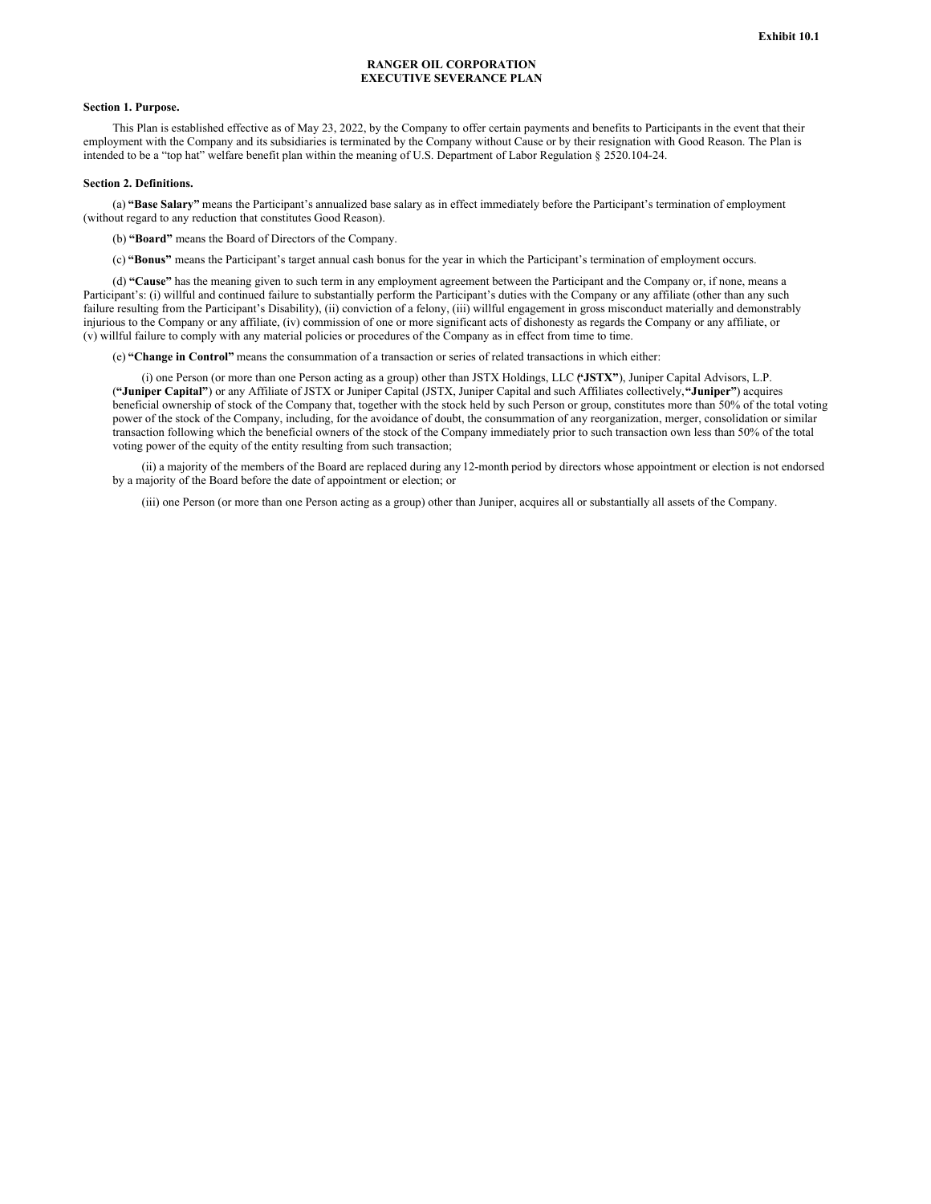#### **RANGER OIL CORPORATION EXECUTIVE SEVERANCE PLAN**

#### **Section 1. Purpose.**

This Plan is established effective as of May 23, 2022, by the Company to offer certain payments and benefits to Participants in the event that their employment with the Company and its subsidiaries is terminated by the Company without Cause or by their resignation with Good Reason. The Plan is intended to be a "top hat" welfare benefit plan within the meaning of U.S. Department of Labor Regulation § 2520.104-24.

#### **Section 2. Definitions.**

(a) **"Base Salary"** means the Participant's annualized base salary as in effect immediately before the Participant's termination of employment (without regard to any reduction that constitutes Good Reason).

(b) **"Board"** means the Board of Directors of the Company.

(c) **"Bonus"** means the Participant's target annual cash bonus for the year in which the Participant's termination of employment occurs.

(d) **"Cause"** has the meaning given to such term in any employment agreement between the Participant and the Company or, if none, means a Participant's: (i) willful and continued failure to substantially perform the Participant's duties with the Company or any affiliate (other than any such failure resulting from the Participant's Disability), (ii) conviction of a felony, (iii) willful engagement in gross misconduct materially and demonstrably injurious to the Company or any affiliate, (iv) commission of one or more significant acts of dishonesty as regards the Company or any affiliate, or (v) willful failure to comply with any material policies or procedures of the Company as in effect from time to time.

(e) **"Change in Control"** means the consummation of a transaction or series of related transactions in which either:

(i) one Person (or more than one Person acting as a group) other than JSTX Holdings, LLC (**"JSTX"**), Juniper Capital Advisors, L.P. (**"Juniper Capital"**) or any Affiliate of JSTX or Juniper Capital (JSTX, Juniper Capital and such Affiliates collectively,**"Juniper"**) acquires beneficial ownership of stock of the Company that, together with the stock held by such Person or group, constitutes more than 50% of the total voting power of the stock of the Company, including, for the avoidance of doubt, the consummation of any reorganization, merger, consolidation or similar transaction following which the beneficial owners of the stock of the Company immediately prior to such transaction own less than 50% of the total voting power of the equity of the entity resulting from such transaction;

(ii) a majority of the members of the Board are replaced during any 12-month period by directors whose appointment or election is not endorsed by a majority of the Board before the date of appointment or election; or

(iii) one Person (or more than one Person acting as a group) other than Juniper, acquires all or substantially all assets of the Company.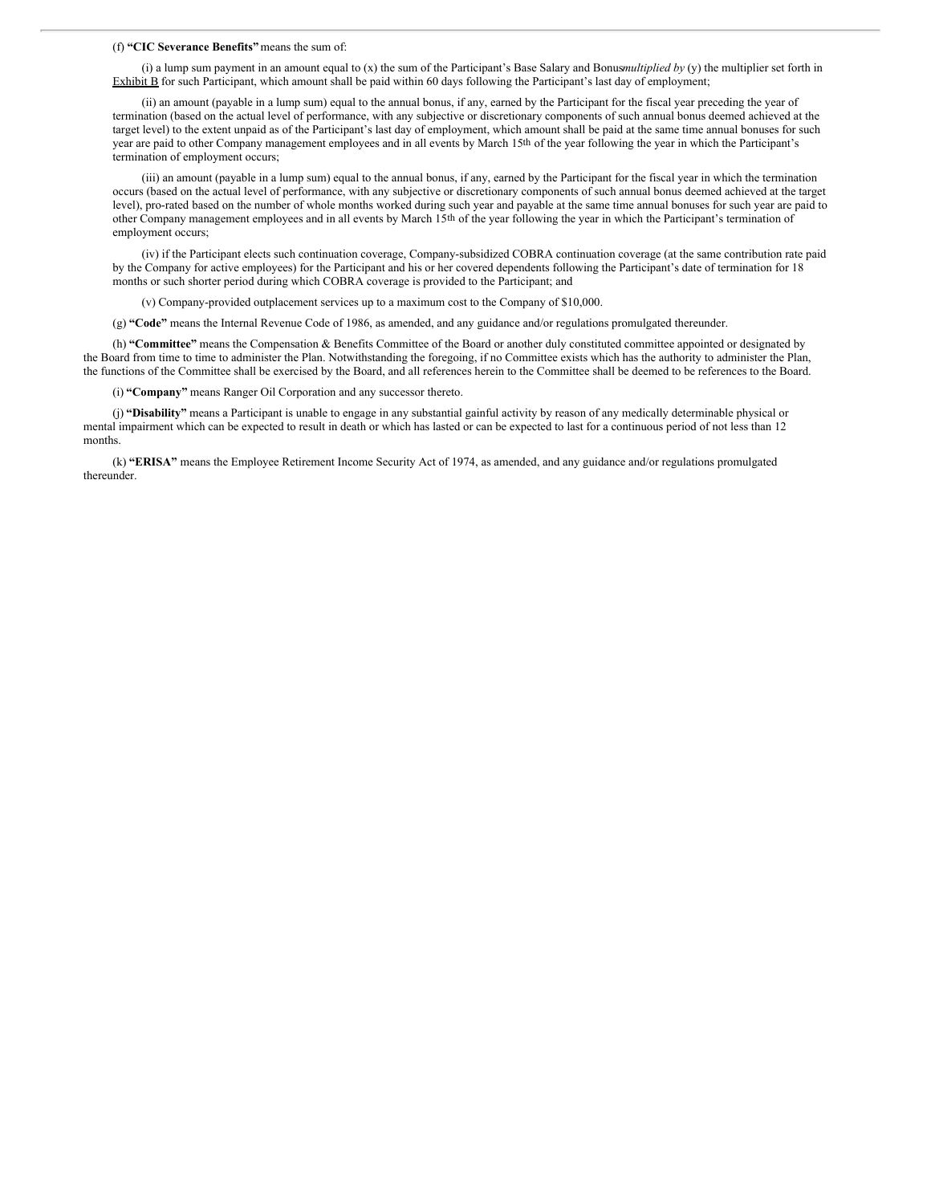#### (f) **"CIC Severance Benefits"** means the sum of:

(i) a lump sum payment in an amount equal to (x) the sum of the Participant's Base Salary and Bonus*multiplied by* (y) the multiplier set forth in Exhibit B for such Participant, which amount shall be paid within 60 days following the Participant's last day of employment;

(ii) an amount (payable in a lump sum) equal to the annual bonus, if any, earned by the Participant for the fiscal year preceding the year of termination (based on the actual level of performance, with any subjective or discretionary components of such annual bonus deemed achieved at the target level) to the extent unpaid as of the Participant's last day of employment, which amount shall be paid at the same time annual bonuses for such year are paid to other Company management employees and in all events by March 15th of the year following the year in which the Participant's termination of employment occurs;

(iii) an amount (payable in a lump sum) equal to the annual bonus, if any, earned by the Participant for the fiscal year in which the termination occurs (based on the actual level of performance, with any subjective or discretionary components of such annual bonus deemed achieved at the target level), pro-rated based on the number of whole months worked during such year and payable at the same time annual bonuses for such year are paid to other Company management employees and in all events by March 15th of the year following the year in which the Participant's termination of employment occurs;

(iv) if the Participant elects such continuation coverage, Company-subsidized COBRA continuation coverage (at the same contribution rate paid by the Company for active employees) for the Participant and his or her covered dependents following the Participant's date of termination for 18 months or such shorter period during which COBRA coverage is provided to the Participant; and

(v) Company-provided outplacement services up to a maximum cost to the Company of \$10,000.

(g) **"Code"** means the Internal Revenue Code of 1986, as amended, and any guidance and/or regulations promulgated thereunder.

(h) **"Committee"** means the Compensation & Benefits Committee of the Board or another duly constituted committee appointed or designated by the Board from time to time to administer the Plan. Notwithstanding the foregoing, if no Committee exists which has the authority to administer the Plan, the functions of the Committee shall be exercised by the Board, and all references herein to the Committee shall be deemed to be references to the Board.

(i) **"Company"** means Ranger Oil Corporation and any successor thereto.

(j) **"Disability"** means a Participant is unable to engage in any substantial gainful activity by reason of any medically determinable physical or mental impairment which can be expected to result in death or which has lasted or can be expected to last for a continuous period of not less than 12 months.

(k) **"ERISA"** means the Employee Retirement Income Security Act of 1974, as amended, and any guidance and/or regulations promulgated thereunder.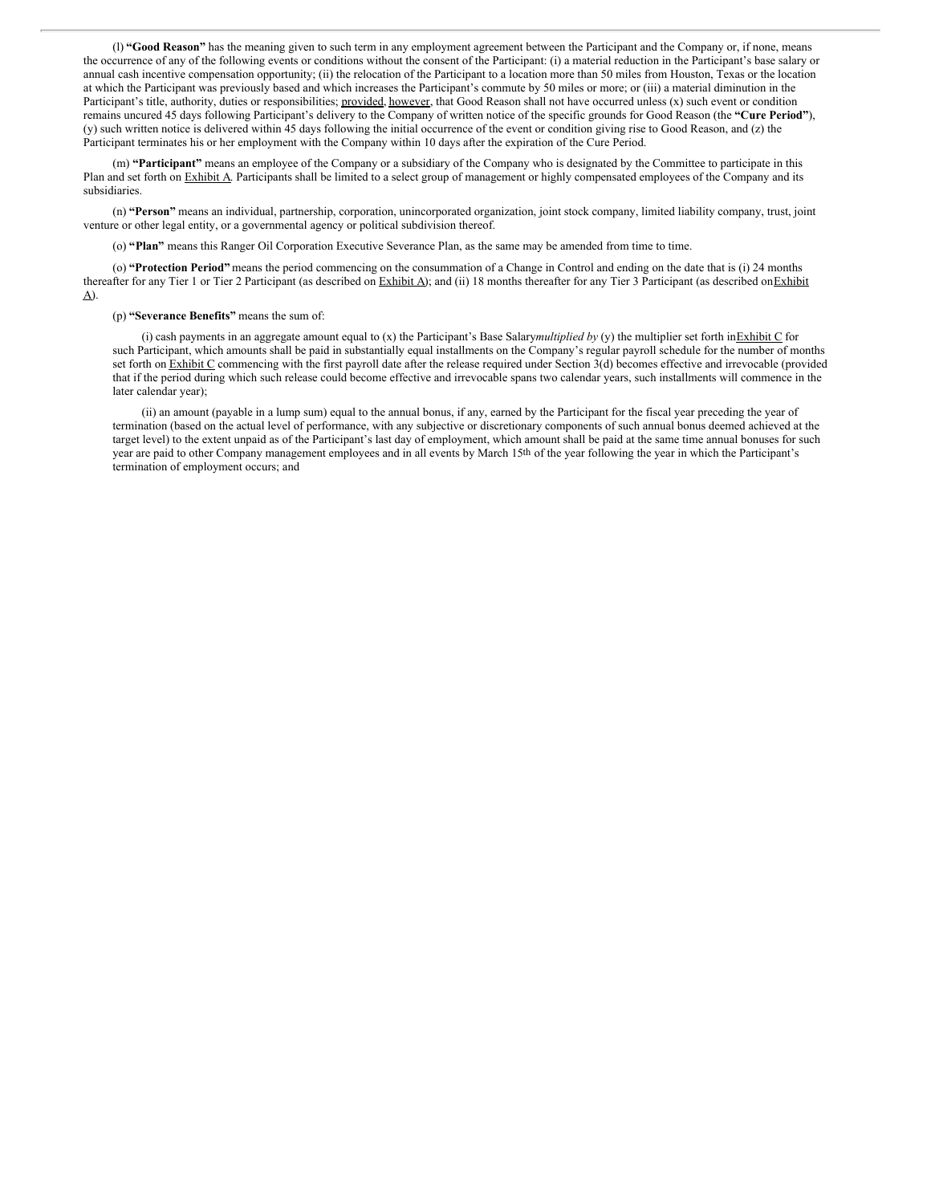(l) **"Good Reason"** has the meaning given to such term in any employment agreement between the Participant and the Company or, if none, means the occurrence of any of the following events or conditions without the consent of the Participant: (i) a material reduction in the Participant's base salary or annual cash incentive compensation opportunity; (ii) the relocation of the Participant to a location more than 50 miles from Houston, Texas or the location at which the Participant was previously based and which increases the Participant's commute by 50 miles or more; or (iii) a material diminution in the Participant's title, authority, duties or responsibilities; provided, however, that Good Reason shall not have occurred unless (x) such event or condition remains uncured 45 days following Participant's delivery to the Company of written notice of the specific grounds for Good Reason (the **"Cure Period"**), (y) such written notice is delivered within 45 days following the initial occurrence of the event or condition giving rise to Good Reason, and (z) the Participant terminates his or her employment with the Company within 10 days after the expiration of the Cure Period.

(m) **"Participant"** means an employee of the Company or a subsidiary of the Company who is designated by the Committee to participate in this Plan and set forth on Exhibit A. Participants shall be limited to a select group of management or highly compensated employees of the Company and its subsidiaries.

(n) **"Person"** means an individual, partnership, corporation, unincorporated organization, joint stock company, limited liability company, trust, joint venture or other legal entity, or a governmental agency or political subdivision thereof.

(o) **"Plan"** means this Ranger Oil Corporation Executive Severance Plan, as the same may be amended from time to time.

(o) **"Protection Period"** means the period commencing on the consummation of a Change in Control and ending on the date that is (i) 24 months thereafter for any Tier 1 or Tier 2 Participant (as described on Exhibit A); and (ii) 18 months thereafter for any Tier 3 Participant (as described on Exhibit A).

#### (p) **"Severance Benefits"** means the sum of:

(i) cash payments in an aggregate amount equal to (x) the Participant's Base Salary*multiplied by* (y) the multiplier set forth inExhibit C for such Participant, which amounts shall be paid in substantially equal installments on the Company's regular payroll schedule for the number of months set forth on Exhibit C commencing with the first payroll date after the release required under Section 3(d) becomes effective and irrevocable (provided that if the period during which such release could become effective and irrevocable spans two calendar years, such installments will commence in the later calendar year);

(ii) an amount (payable in a lump sum) equal to the annual bonus, if any, earned by the Participant for the fiscal year preceding the year of termination (based on the actual level of performance, with any subjective or discretionary components of such annual bonus deemed achieved at the target level) to the extent unpaid as of the Participant's last day of employment, which amount shall be paid at the same time annual bonuses for such year are paid to other Company management employees and in all events by March 15th of the year following the year in which the Participant's termination of employment occurs; and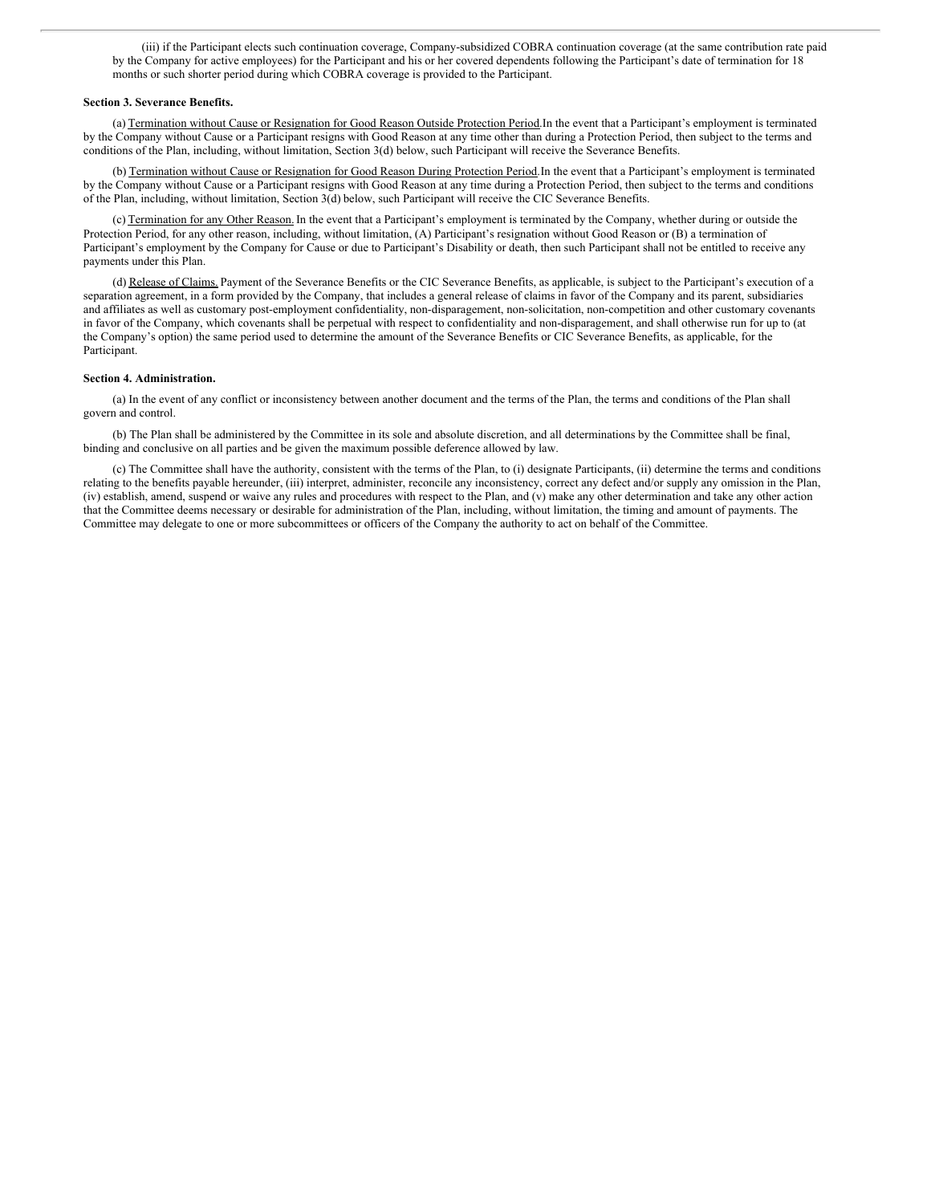(iii) if the Participant elects such continuation coverage, Company-subsidized COBRA continuation coverage (at the same contribution rate paid by the Company for active employees) for the Participant and his or her covered dependents following the Participant's date of termination for 18 months or such shorter period during which COBRA coverage is provided to the Participant.

#### **Section 3. Severance Benefits.**

(a) Termination without Cause or Resignation for Good Reason Outside Protection Period.In the event that a Participant's employment is terminated by the Company without Cause or a Participant resigns with Good Reason at any time other than during a Protection Period, then subject to the terms and conditions of the Plan, including, without limitation, Section 3(d) below, such Participant will receive the Severance Benefits.

(b) Termination without Cause or Resignation for Good Reason During Protection Period.In the event that a Participant's employment is terminated by the Company without Cause or a Participant resigns with Good Reason at any time during a Protection Period, then subject to the terms and conditions of the Plan, including, without limitation, Section 3(d) below, such Participant will receive the CIC Severance Benefits.

(c) Termination for any Other Reason.In the event that a Participant's employment is terminated by the Company, whether during or outside the Protection Period, for any other reason, including, without limitation, (A) Participant's resignation without Good Reason or (B) a termination of Participant's employment by the Company for Cause or due to Participant's Disability or death, then such Participant shall not be entitled to receive any payments under this Plan.

(d) Release of Claims. Payment of the Severance Benefits or the CIC Severance Benefits, as applicable, is subject to the Participant's execution of a separation agreement, in a form provided by the Company, that includes a general release of claims in favor of the Company and its parent, subsidiaries and affiliates as well as customary post-employment confidentiality, non-disparagement, non-solicitation, non-competition and other customary covenants in favor of the Company, which covenants shall be perpetual with respect to confidentiality and non-disparagement, and shall otherwise run for up to (at the Company's option) the same period used to determine the amount of the Severance Benefits or CIC Severance Benefits, as applicable, for the Participant.

#### **Section 4. Administration.**

(a) In the event of any conflict or inconsistency between another document and the terms of the Plan, the terms and conditions of the Plan shall govern and control.

(b) The Plan shall be administered by the Committee in its sole and absolute discretion, and all determinations by the Committee shall be final, binding and conclusive on all parties and be given the maximum possible deference allowed by law.

(c) The Committee shall have the authority, consistent with the terms of the Plan, to (i) designate Participants, (ii) determine the terms and conditions relating to the benefits payable hereunder, (iii) interpret, administer, reconcile any inconsistency, correct any defect and/or supply any omission in the Plan, (iv) establish, amend, suspend or waive any rules and procedures with respect to the Plan, and (v) make any other determination and take any other action that the Committee deems necessary or desirable for administration of the Plan, including, without limitation, the timing and amount of payments. The Committee may delegate to one or more subcommittees or officers of the Company the authority to act on behalf of the Committee.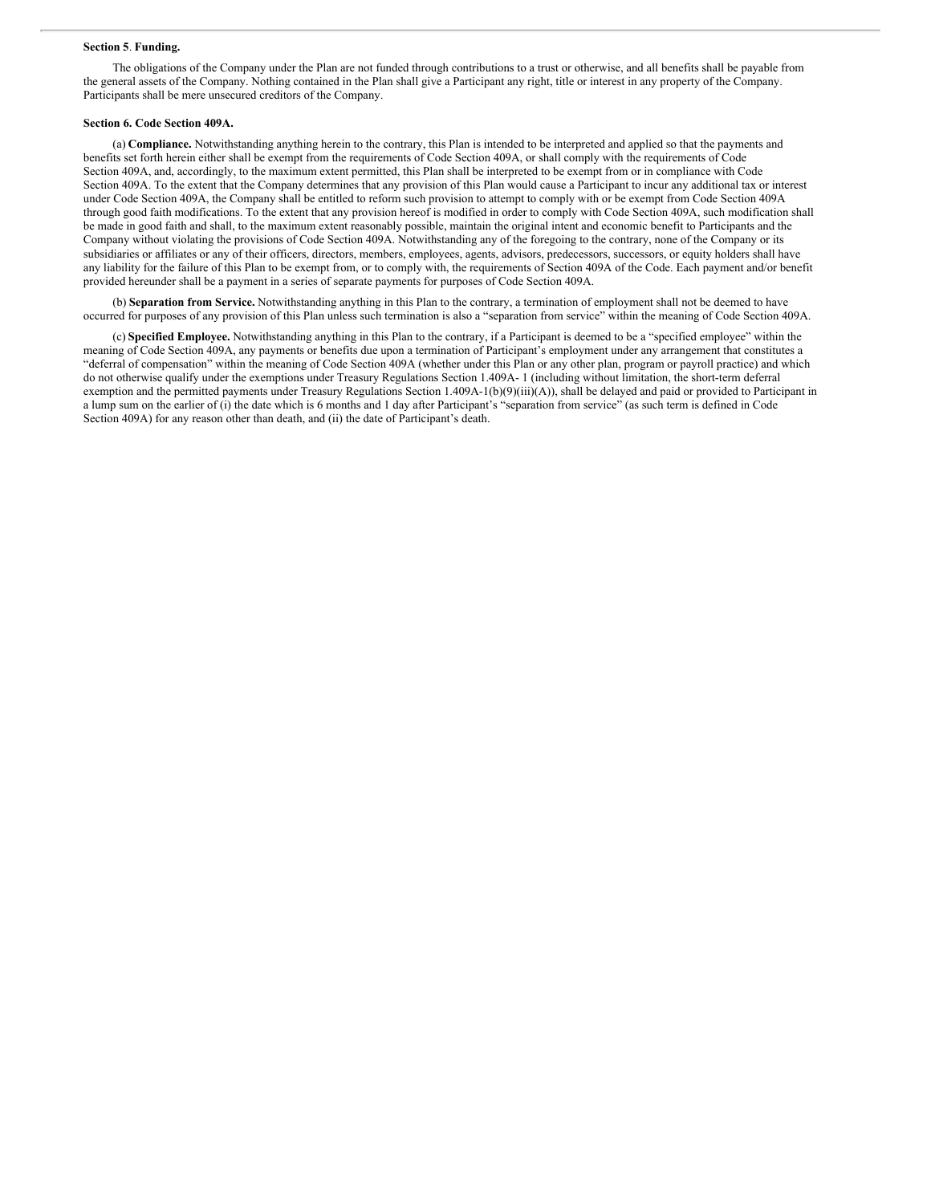#### **Section 5**. **Funding.**

The obligations of the Company under the Plan are not funded through contributions to a trust or otherwise, and all benefits shall be payable from the general assets of the Company. Nothing contained in the Plan shall give a Participant any right, title or interest in any property of the Company. Participants shall be mere unsecured creditors of the Company.

#### **Section 6. Code Section 409A.**

(a) **Compliance.** Notwithstanding anything herein to the contrary, this Plan is intended to be interpreted and applied so that the payments and benefits set forth herein either shall be exempt from the requirements of Code Section 409A, or shall comply with the requirements of Code Section 409A, and, accordingly, to the maximum extent permitted, this Plan shall be interpreted to be exempt from or in compliance with Code Section 409A. To the extent that the Company determines that any provision of this Plan would cause a Participant to incur any additional tax or interest under Code Section 409A, the Company shall be entitled to reform such provision to attempt to comply with or be exempt from Code Section 409A through good faith modifications. To the extent that any provision hereof is modified in order to comply with Code Section 409A, such modification shall be made in good faith and shall, to the maximum extent reasonably possible, maintain the original intent and economic benefit to Participants and the Company without violating the provisions of Code Section 409A. Notwithstanding any of the foregoing to the contrary, none of the Company or its subsidiaries or affiliates or any of their officers, directors, members, employees, agents, advisors, predecessors, successors, or equity holders shall have any liability for the failure of this Plan to be exempt from, or to comply with, the requirements of Section 409A of the Code. Each payment and/or benefit provided hereunder shall be a payment in a series of separate payments for purposes of Code Section 409A.

(b) **Separation from Service.** Notwithstanding anything in this Plan to the contrary, a termination of employment shall not be deemed to have occurred for purposes of any provision of this Plan unless such termination is also a "separation from service" within the meaning of Code Section 409A.

(c) **Specified Employee.** Notwithstanding anything in this Plan to the contrary, if a Participant is deemed to be a "specified employee" within the meaning of Code Section 409A, any payments or benefits due upon a termination of Participant's employment under any arrangement that constitutes a "deferral of compensation" within the meaning of Code Section 409A (whether under this Plan or any other plan, program or payroll practice) and which do not otherwise qualify under the exemptions under Treasury Regulations Section 1.409A- 1 (including without limitation, the short-term deferral exemption and the permitted payments under Treasury Regulations Section 1.409A-1(b)(9)(iii)(A)), shall be delayed and paid or provided to Participant in a lump sum on the earlier of (i) the date which is 6 months and 1 day after Participant's "separation from service" (as such term is defined in Code Section 409A) for any reason other than death, and (ii) the date of Participant's death.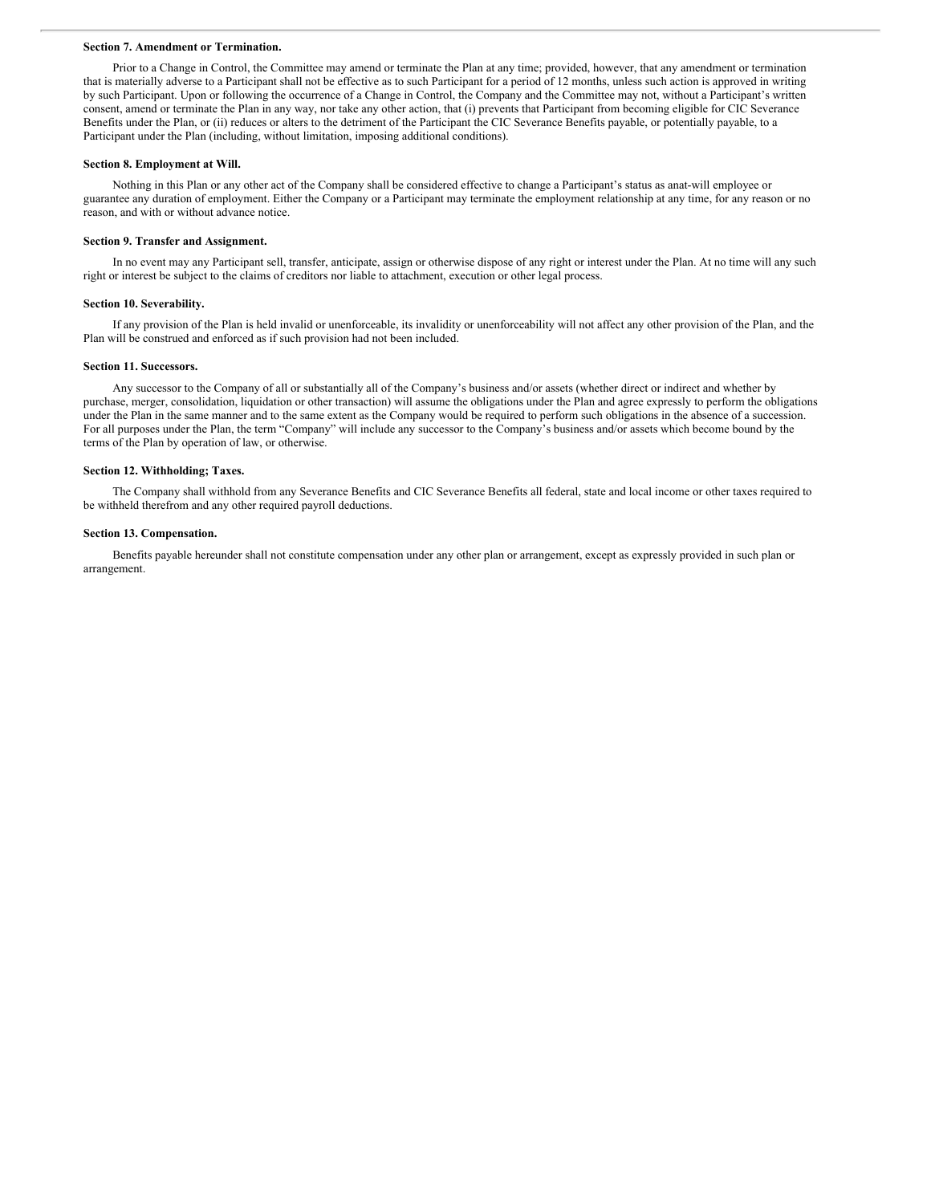#### <span id="page-9-0"></span>**Section 7. Amendment or Termination.**

Prior to a Change in Control, the Committee may amend or terminate the Plan at any time; provided, however, that any amendment or termination that is materially adverse to a Participant shall not be effective as to such Participant for a period of 12 months, unless such action is approved in writing by such Participant. Upon or following the occurrence of a Change in Control, the Company and the Committee may not, without a Participant's written consent, amend or terminate the Plan in any way, nor take any other action, that (i) prevents that Participant from becoming eligible for CIC Severance Benefits under the Plan, or (ii) reduces or alters to the detriment of the Participant the CIC Severance Benefits payable, or potentially payable, to a Participant under the Plan (including, without limitation, imposing additional conditions).

#### **Section 8. Employment at Will.**

Nothing in this Plan or any other act of the Company shall be considered effective to change a Participant's status as anat-will employee or guarantee any duration of employment. Either the Company or a Participant may terminate the employment relationship at any time, for any reason or no reason, and with or without advance notice.

#### **Section 9. Transfer and Assignment.**

In no event may any Participant sell, transfer, anticipate, assign or otherwise dispose of any right or interest under the Plan. At no time will any such right or interest be subject to the claims of creditors nor liable to attachment, execution or other legal process.

#### **Section 10. Severability.**

If any provision of the Plan is held invalid or unenforceable, its invalidity or unenforceability will not affect any other provision of the Plan, and the Plan will be construed and enforced as if such provision had not been included.

#### **Section 11. Successors.**

Any successor to the Company of all or substantially all of the Company's business and/or assets (whether direct or indirect and whether by purchase, merger, consolidation, liquidation or other transaction) will assume the obligations under the Plan and agree expressly to perform the obligations under the Plan in the same manner and to the same extent as the Company would be required to perform such obligations in the absence of a succession. For all purposes under the Plan, the term "Company" will include any successor to the Company's business and/or assets which become bound by the terms of the Plan by operation of law, or otherwise.

#### **Section 12. Withholding; Taxes.**

The Company shall withhold from any Severance Benefits and CIC Severance Benefits all federal, state and local income or other taxes required to be withheld therefrom and any other required payroll deductions.

#### **Section 13. Compensation.**

Benefits payable hereunder shall not constitute compensation under any other plan or arrangement, except as expressly provided in such plan or arrangement.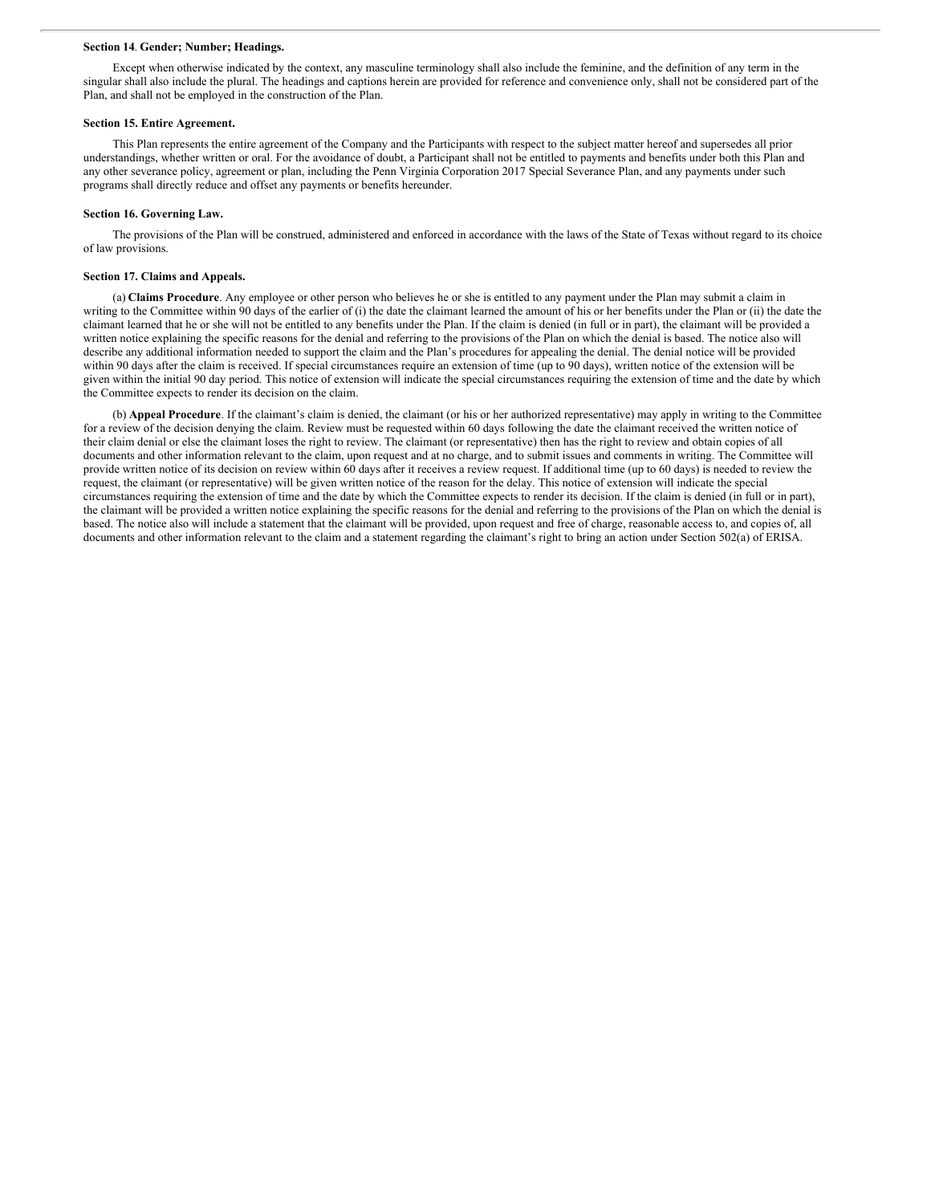#### **Section 14**. **Gender; Number; Headings.**

Except when otherwise indicated by the context, any masculine terminology shall also include the feminine, and the definition of any term in the singular shall also include the plural. The headings and captions herein are provided for reference and convenience only, shall not be considered part of the Plan, and shall not be employed in the construction of the Plan.

#### **Section 15. Entire Agreement.**

This Plan represents the entire agreement of the Company and the Participants with respect to the subject matter hereof and supersedes all prior understandings, whether written or oral. For the avoidance of doubt, a Participant shall not be entitled to payments and benefits under both this Plan and any other severance policy, agreement or plan, including the Penn Virginia Corporation 2017 Special Severance Plan, and any payments under such programs shall directly reduce and offset any payments or benefits hereunder.

#### **Section 16. Governing Law.**

The provisions of the Plan will be construed, administered and enforced in accordance with the laws of the State of Texas without regard to its choice of law provisions.

#### **Section 17. Claims and Appeals.**

(a) **Claims Procedure**. Any employee or other person who believes he or she is entitled to any payment under the Plan may submit a claim in writing to the Committee within 90 days of the earlier of (i) the date the claimant learned the amount of his or her benefits under the Plan or (ii) the date the claimant learned that he or she will not be entitled to any benefits under the Plan. If the claim is denied (in full or in part), the claimant will be provided a written notice explaining the specific reasons for the denial and referring to the provisions of the Plan on which the denial is based. The notice also will describe any additional information needed to support the claim and the Plan's procedures for appealing the denial. The denial notice will be provided within 90 days after the claim is received. If special circumstances require an extension of time (up to 90 days), written notice of the extension will be given within the initial 90 day period. This notice of extension will indicate the special circumstances requiring the extension of time and the date by which the Committee expects to render its decision on the claim.

(b) **Appeal Procedure**. If the claimant's claim is denied, the claimant (or his or her authorized representative) may apply in writing to the Committee for a review of the decision denying the claim. Review must be requested within 60 days following the date the claimant received the written notice of their claim denial or else the claimant loses the right to review. The claimant (or representative) then has the right to review and obtain copies of all documents and other information relevant to the claim, upon request and at no charge, and to submit issues and comments in writing. The Committee will provide written notice of its decision on review within 60 days after it receives a review request. If additional time (up to 60 days) is needed to review the request, the claimant (or representative) will be given written notice of the reason for the delay. This notice of extension will indicate the special circumstances requiring the extension of time and the date by which the Committee expects to render its decision. If the claim is denied (in full or in part), the claimant will be provided a written notice explaining the specific reasons for the denial and referring to the provisions of the Plan on which the denial is based. The notice also will include a statement that the claimant will be provided, upon request and free of charge, reasonable access to, and copies of, all documents and other information relevant to the claim and a statement regarding the claimant's right to bring an action under Section 502(a) of ERISA.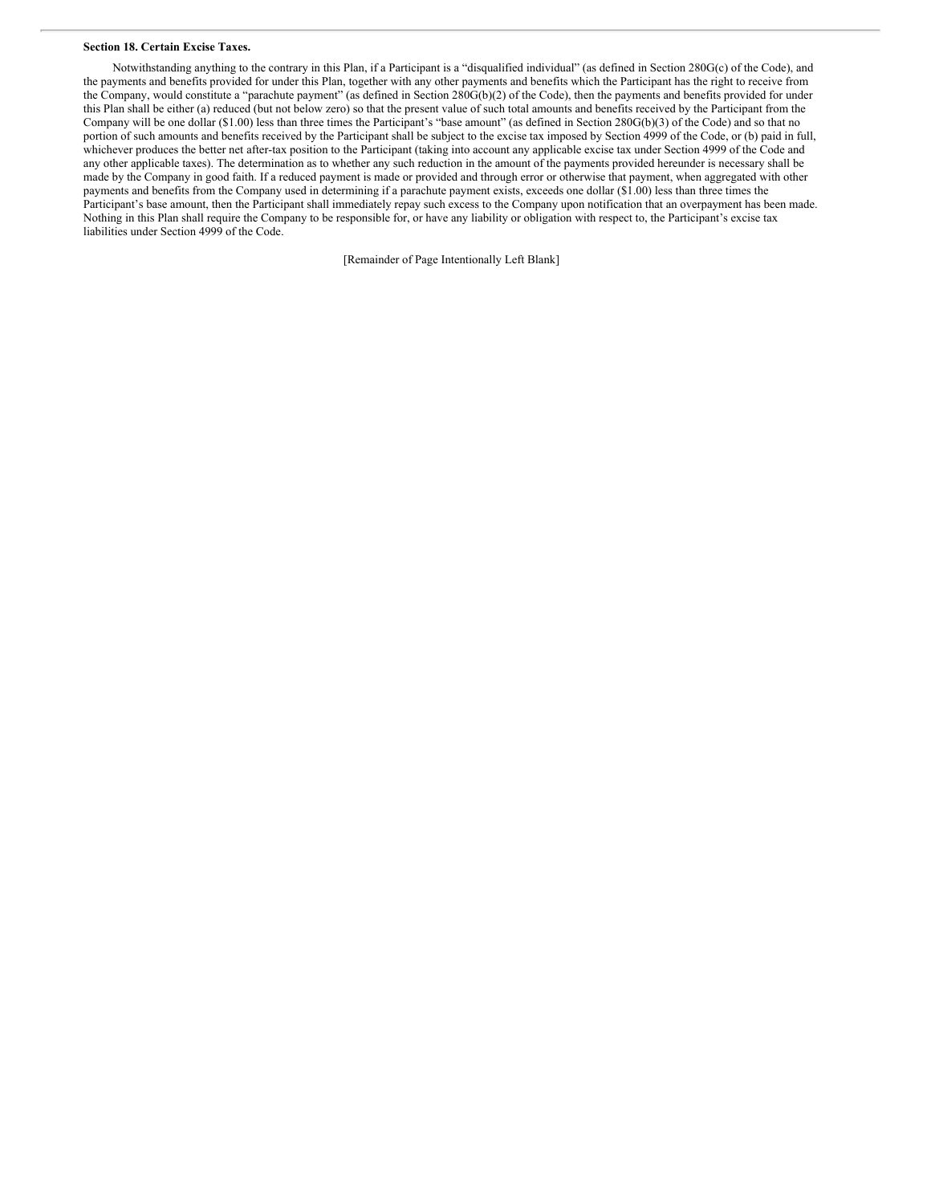#### **Section 18. Certain Excise Taxes.**

Notwithstanding anything to the contrary in this Plan, if a Participant is a "disqualified individual" (as defined in Section 280G(c) of the Code), and the payments and benefits provided for under this Plan, together with any other payments and benefits which the Participant has the right to receive from the Company, would constitute a "parachute payment" (as defined in Section 280G(b)(2) of the Code), then the payments and benefits provided for under this Plan shall be either (a) reduced (but not below zero) so that the present value of such total amounts and benefits received by the Participant from the Company will be one dollar (\$1.00) less than three times the Participant's "base amount" (as defined in Section 280G(b)(3) of the Code) and so that no portion of such amounts and benefits received by the Participant shall be subject to the excise tax imposed by Section 4999 of the Code, or (b) paid in full, whichever produces the better net after-tax position to the Participant (taking into account any applicable excise tax under Section 4999 of the Code and any other applicable taxes). The determination as to whether any such reduction in the amount of the payments provided hereunder is necessary shall be made by the Company in good faith. If a reduced payment is made or provided and through error or otherwise that payment, when aggregated with other payments and benefits from the Company used in determining if a parachute payment exists, exceeds one dollar (\$1.00) less than three times the Participant's base amount, then the Participant shall immediately repay such excess to the Company upon notification that an overpayment has been made. Nothing in this Plan shall require the Company to be responsible for, or have any liability or obligation with respect to, the Participant's excise tax liabilities under Section 4999 of the Code.

[Remainder of Page Intentionally Left Blank]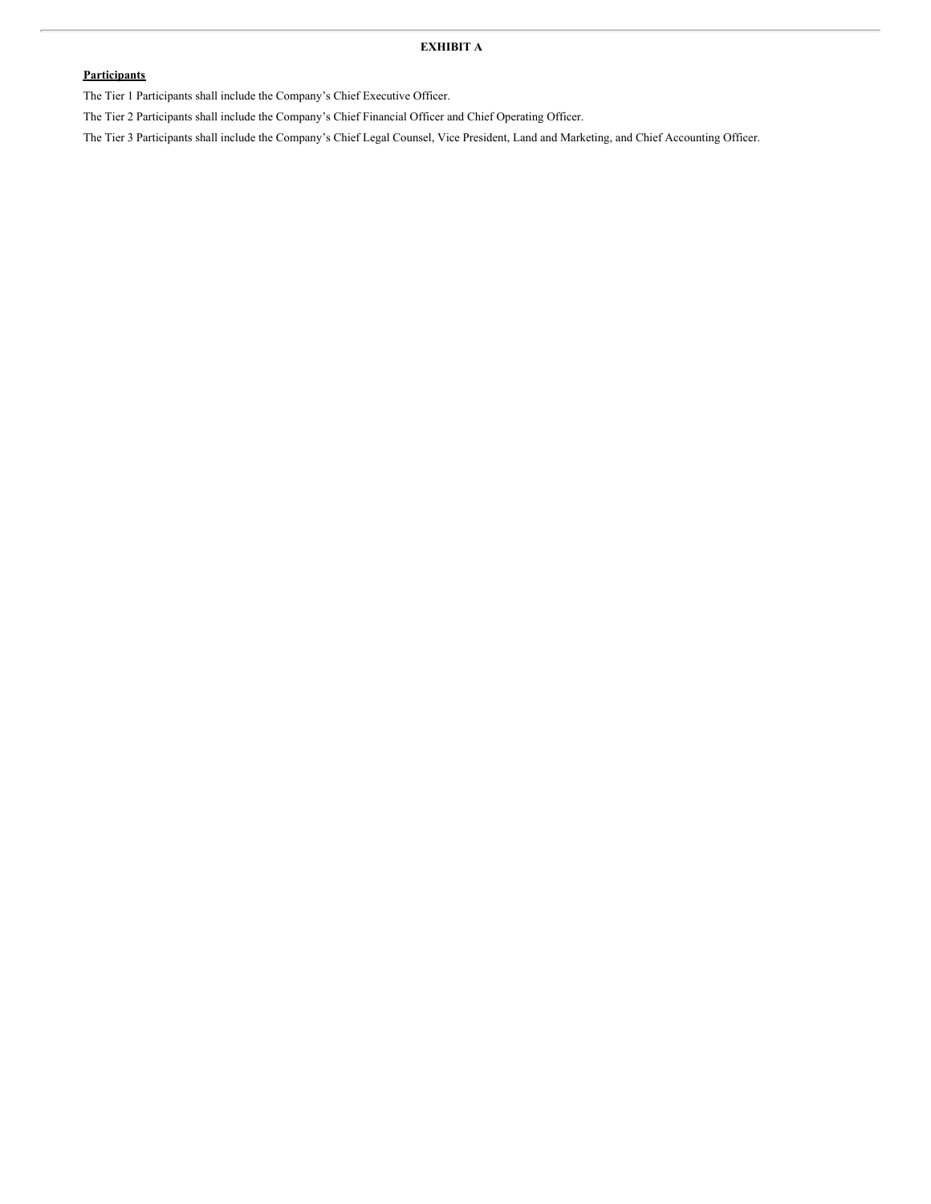## **EXHIBIT A**

## **Participants**

The Tier 1 Participants shall include the Company's Chief Executive Officer.

The Tier 2 Participants shall include the Company's Chief Financial Officer and Chief Operating Officer.

The Tier 3 Participants shall include the Company's Chief Legal Counsel, Vice President, Land and Marketing, and Chief Accounting Officer.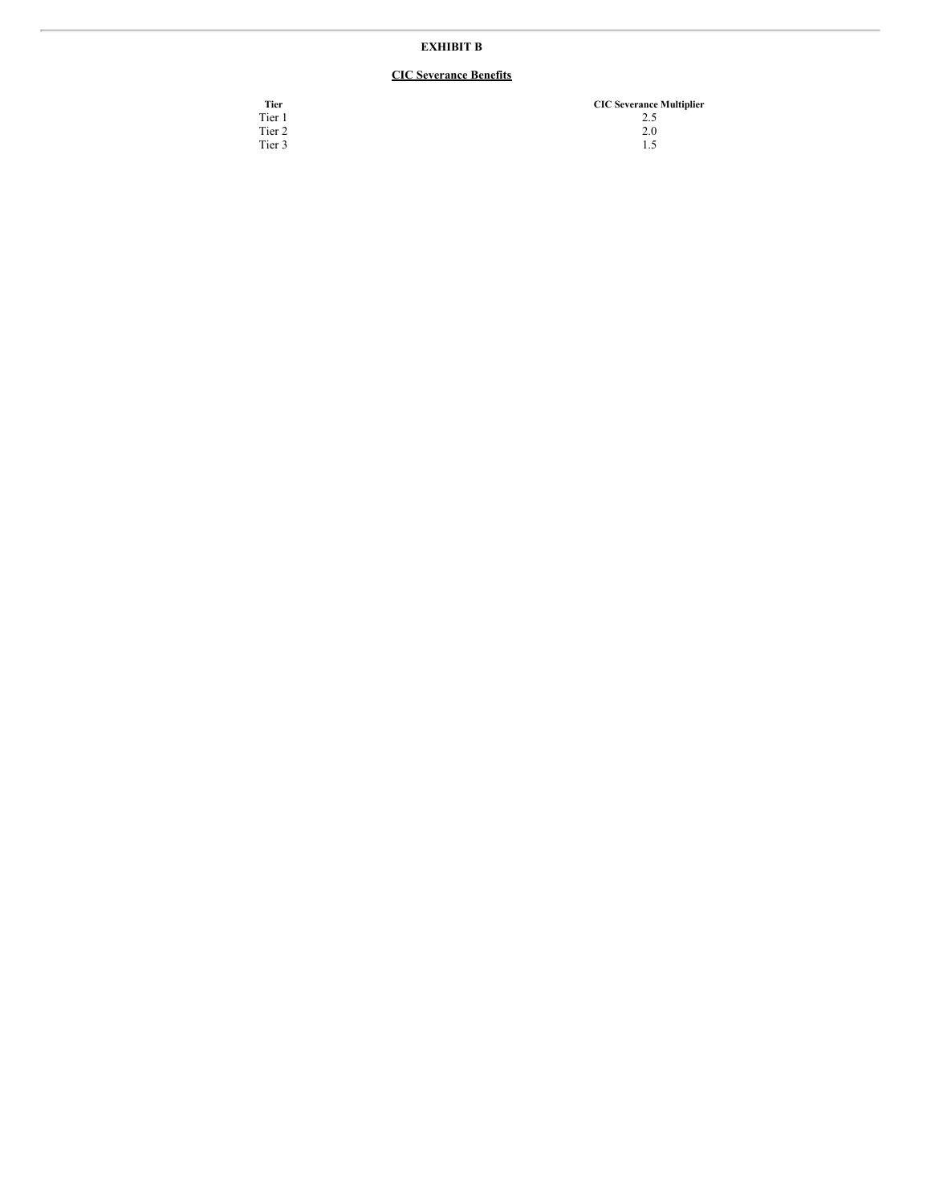# **EXHIBIT B**

# **CIC Severance Benefits**

| Tier   | <b>CIC Severance Multiplier</b> |
|--------|---------------------------------|
| Tier 1 | 2.5                             |
| Tier 2 | 2.0                             |
| Tier 3 | 1.5                             |